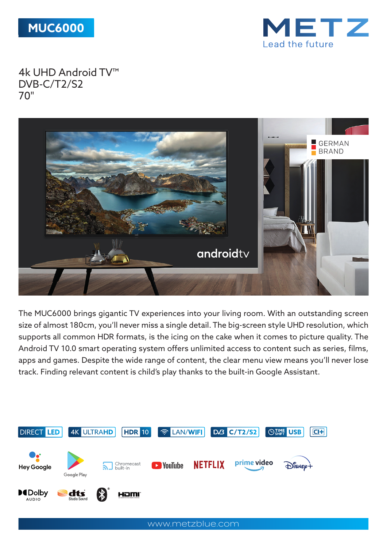



4k UHD Android TV™ DVB-C/T2/S2 70"



The MUC6000 brings gigantic TV experiences into your living room. With an outstanding screen size of almost 180cm, you'll never miss a single detail. The big-screen style UHD resolution, which supports all common HDR formats, is the icing on the cake when it comes to picture quality. The Android TV 10.0 smart operating system offers unlimited access to content such as series, films, apps and games. Despite the wide range of content, the clear menu view means you'll never lose track. Finding relevant content is child's play thanks to the built-in Google Assistant.